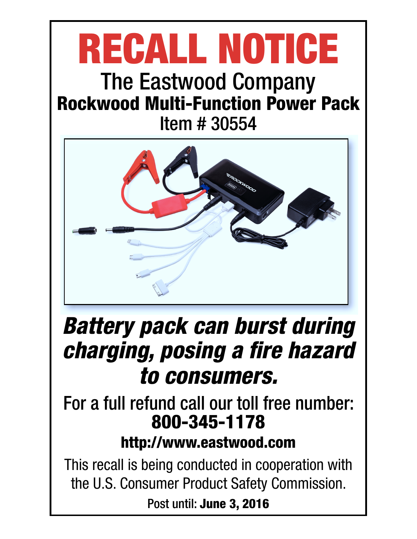# RECALL NOTICE The Eastwood Company

## Rockwood Multi-Function Power Pack Item # 30554



## Battery pack can burst during charging, posing a fire hazard to consumers.

## For a full refund call our toll free number: 800-345-1178

## http://www.eastwood.com

This recall is being conducted in cooperation with the U.S. Consumer Product Safety Commission.

Post until: June 3, 2016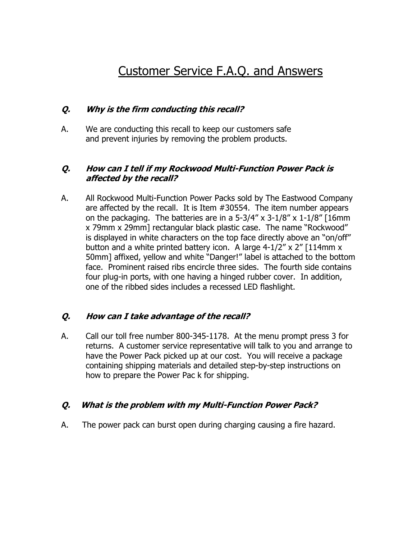### Customer Service F.A.Q. and Answers

#### **Q. Why is the firm conducting this recall?**

A. We are conducting this recall to keep our customers safe and prevent injuries by removing the problem products.

#### **Q. How can I tell if my Rockwood Multi-Function Power Pack is affected by the recall?**

A. All Rockwood Multi-Function Power Packs sold by The Eastwood Company are affected by the recall. It is Item #30554. The item number appears on the packaging. The batteries are in a  $5-3/4''$  x  $3-1/8''$  x  $1-1/8''$  [16mm] x 79mm x 29mm] rectangular black plastic case. The name "Rockwood" is displayed in white characters on the top face directly above an "on/off" button and a white printed battery icon. A large  $4-1/2$ " x 2" [114mm x 50mm] affixed, yellow and white "Danger!" label is attached to the bottom face. Prominent raised ribs encircle three sides. The fourth side contains four plug-in ports, with one having a hinged rubber cover. In addition, one of the ribbed sides includes a recessed LED flashlight.

#### **Q. How can I take advantage of the recall?**

A. Call our toll free number 800-345-1178. At the menu prompt press 3 for returns. A customer service representative will talk to you and arrange to have the Power Pack picked up at our cost. You will receive a package containing shipping materials and detailed step-by-step instructions on how to prepare the Power Pac k for shipping.

#### **Q. What is the problem with my Multi-Function Power Pack?**

A. The power pack can burst open during charging causing a fire hazard.